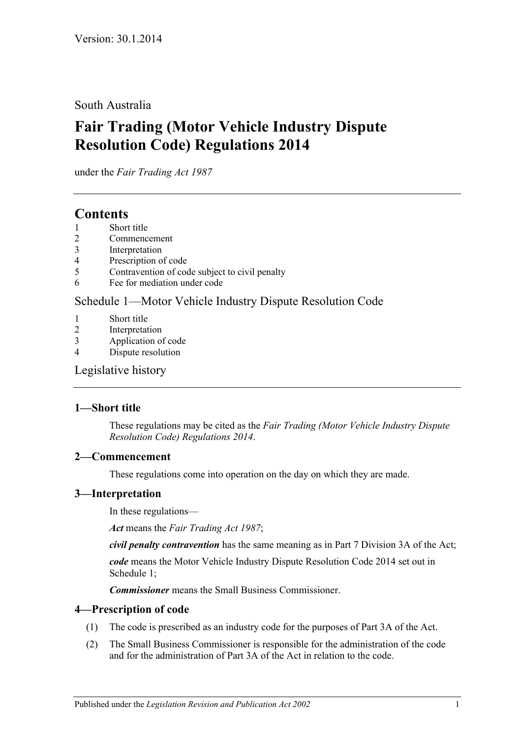South Australia

# **Fair Trading (Motor Vehicle Industry Dispute Resolution Code) Regulations 2014**

under the *Fair Trading Act 1987*

## **Contents**

- 1 [Short title](#page-0-0)
- 2 [Commencement](#page-0-1)
- 3 [Interpretation](#page-0-2)
- 4 [Prescription of code](#page-0-3)
- 5 [Contravention of code subject to](#page-1-0) civil penalty
- 6 [Fee for mediation under code](#page-1-1)

### Schedule [1—Motor Vehicle Industry Dispute Resolution Code](#page-1-2)

- 1 [Short title](#page-1-3)
- 2 [Interpretation](#page-1-4)
- 3 [Application of code](#page-1-5)
- 4 [Dispute resolution](#page-2-0)

[Legislative history](#page-4-0)

### <span id="page-0-0"></span>**1—Short title**

These regulations may be cited as the *Fair Trading (Motor Vehicle Industry Dispute Resolution Code) Regulations 2014*.

### <span id="page-0-1"></span>**2—Commencement**

These regulations come into operation on the day on which they are made.

### <span id="page-0-2"></span>**3—Interpretation**

In these regulations—

*Act* means the *[Fair Trading Act](http://www.legislation.sa.gov.au/index.aspx?action=legref&type=act&legtitle=Fair%20Trading%20Act%201987) 1987*;

*civil penalty contravention* has the same meaning as in Part 7 Division 3A of the Act;

*code* means the Motor Vehicle Industry Dispute Resolution Code 2014 set out in [Schedule](#page-1-2) 1;

*Commissioner* means the Small Business Commissioner.

### <span id="page-0-3"></span>**4—Prescription of code**

- (1) The code is prescribed as an industry code for the purposes of Part 3A of the Act.
- (2) The Small Business Commissioner is responsible for the administration of the code and for the administration of Part 3A of the Act in relation to the code.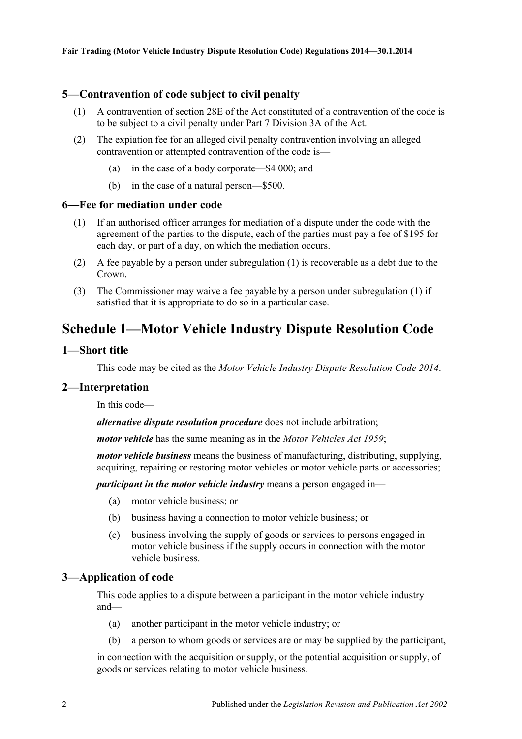### <span id="page-1-0"></span>**5—Contravention of code subject to civil penalty**

- (1) A contravention of section 28E of the Act constituted of a contravention of the code is to be subject to a civil penalty under Part 7 Division 3A of the Act.
- (2) The expiation fee for an alleged civil penalty contravention involving an alleged contravention or attempted contravention of the code is—
	- (a) in the case of a body corporate—\$4 000; and
	- (b) in the case of a natural person—\$500.

#### <span id="page-1-6"></span><span id="page-1-1"></span>**6—Fee for mediation under code**

- (1) If an authorised officer arranges for mediation of a dispute under the code with the agreement of the parties to the dispute, each of the parties must pay a fee of \$195 for each day, or part of a day, on which the mediation occurs.
- (2) A fee payable by a person under [subregulation](#page-1-6) (1) is recoverable as a debt due to the Crown.
- (3) The Commissioner may waive a fee payable by a person under [subregulation](#page-1-6) (1) if satisfied that it is appropriate to do so in a particular case.

## <span id="page-1-2"></span>**Schedule 1—Motor Vehicle Industry Dispute Resolution Code**

#### <span id="page-1-3"></span>**1—Short title**

This code may be cited as the *Motor Vehicle Industry Dispute Resolution Code 2014*.

#### <span id="page-1-4"></span>**2—Interpretation**

In this code—

*alternative dispute resolution procedure* does not include arbitration;

*motor vehicle* has the same meaning as in the *[Motor Vehicles Act](http://www.legislation.sa.gov.au/index.aspx?action=legref&type=act&legtitle=Motor%20Vehicles%20Act%201959) 1959*;

*motor vehicle business* means the business of manufacturing, distributing, supplying, acquiring, repairing or restoring motor vehicles or motor vehicle parts or accessories;

*participant in the motor vehicle industry* means a person engaged in—

- (a) motor vehicle business; or
- (b) business having a connection to motor vehicle business; or
- (c) business involving the supply of goods or services to persons engaged in motor vehicle business if the supply occurs in connection with the motor vehicle business.

### <span id="page-1-5"></span>**3—Application of code**

This code applies to a dispute between a participant in the motor vehicle industry and—

- (a) another participant in the motor vehicle industry; or
- (b) a person to whom goods or services are or may be supplied by the participant,

in connection with the acquisition or supply, or the potential acquisition or supply, of goods or services relating to motor vehicle business.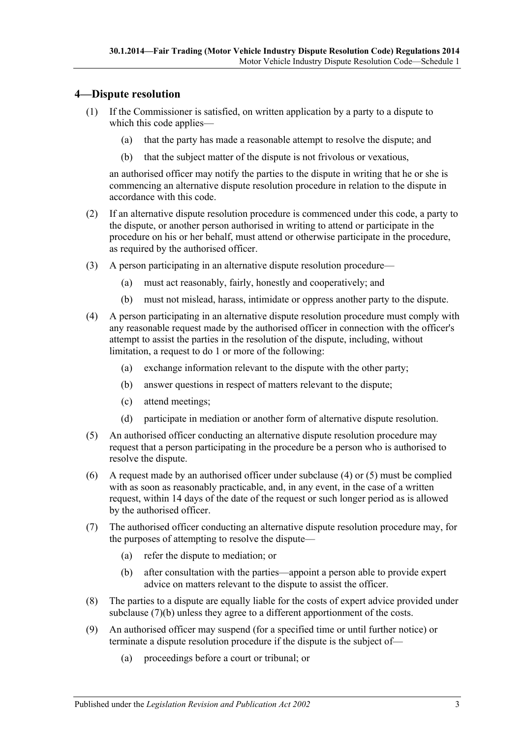### <span id="page-2-0"></span>**4—Dispute resolution**

- (1) If the Commissioner is satisfied, on written application by a party to a dispute to which this code applies—
	- (a) that the party has made a reasonable attempt to resolve the dispute; and
	- (b) that the subject matter of the dispute is not frivolous or vexatious,

an authorised officer may notify the parties to the dispute in writing that he or she is commencing an alternative dispute resolution procedure in relation to the dispute in accordance with this code.

- (2) If an alternative dispute resolution procedure is commenced under this code, a party to the dispute, or another person authorised in writing to attend or participate in the procedure on his or her behalf, must attend or otherwise participate in the procedure, as required by the authorised officer.
- (3) A person participating in an alternative dispute resolution procedure—
	- (a) must act reasonably, fairly, honestly and cooperatively; and
	- (b) must not mislead, harass, intimidate or oppress another party to the dispute.
- <span id="page-2-1"></span>(4) A person participating in an alternative dispute resolution procedure must comply with any reasonable request made by the authorised officer in connection with the officer's attempt to assist the parties in the resolution of the dispute, including, without limitation, a request to do 1 or more of the following:
	- (a) exchange information relevant to the dispute with the other party;
	- (b) answer questions in respect of matters relevant to the dispute;
	- (c) attend meetings;
	- (d) participate in mediation or another form of alternative dispute resolution.
- <span id="page-2-2"></span>(5) An authorised officer conducting an alternative dispute resolution procedure may request that a person participating in the procedure be a person who is authorised to resolve the dispute.
- (6) A request made by an authorised officer under [subclause](#page-2-1) (4) or [\(5\)](#page-2-2) must be complied with as soon as reasonably practicable, and, in any event, in the case of a written request, within 14 days of the date of the request or such longer period as is allowed by the authorised officer.
- (7) The authorised officer conducting an alternative dispute resolution procedure may, for the purposes of attempting to resolve the dispute—
	- (a) refer the dispute to mediation; or
	- (b) after consultation with the parties—appoint a person able to provide expert advice on matters relevant to the dispute to assist the officer.
- <span id="page-2-3"></span>(8) The parties to a dispute are equally liable for the costs of expert advice provided under [subclause](#page-2-3) (7)(b) unless they agree to a different apportionment of the costs.
- <span id="page-2-4"></span>(9) An authorised officer may suspend (for a specified time or until further notice) or terminate a dispute resolution procedure if the dispute is the subject of—
	- (a) proceedings before a court or tribunal; or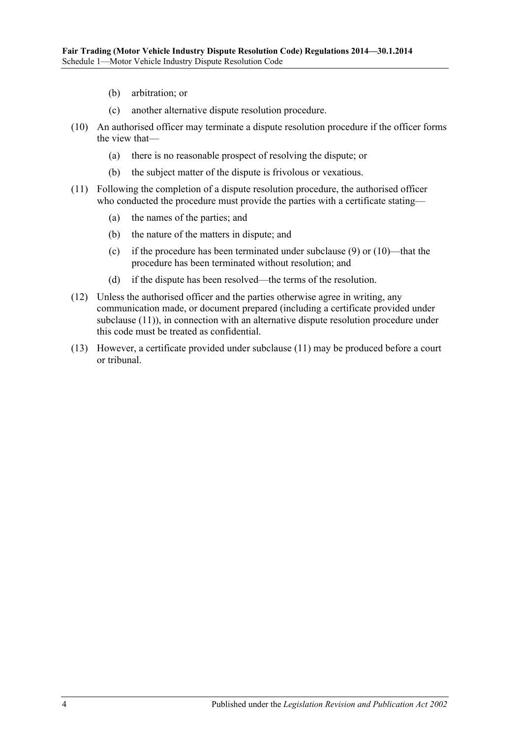- (b) arbitration; or
- (c) another alternative dispute resolution procedure.
- <span id="page-3-0"></span>(10) An authorised officer may terminate a dispute resolution procedure if the officer forms the view that—
	- (a) there is no reasonable prospect of resolving the dispute; or
	- (b) the subject matter of the dispute is frivolous or vexatious.
- <span id="page-3-1"></span>(11) Following the completion of a dispute resolution procedure, the authorised officer who conducted the procedure must provide the parties with a certificate stating—
	- (a) the names of the parties; and
	- (b) the nature of the matters in dispute; and
	- (c) if the procedure has been terminated under [subclause](#page-2-4) (9) or [\(10\)—](#page-3-0)that the procedure has been terminated without resolution; and
	- (d) if the dispute has been resolved—the terms of the resolution.
- (12) Unless the authorised officer and the parties otherwise agree in writing, any communication made, or document prepared (including a certificate provided under [subclause](#page-3-1) (11)), in connection with an alternative dispute resolution procedure under this code must be treated as confidential.
- (13) However, a certificate provided under [subclause](#page-3-1) (11) may be produced before a court or tribunal.